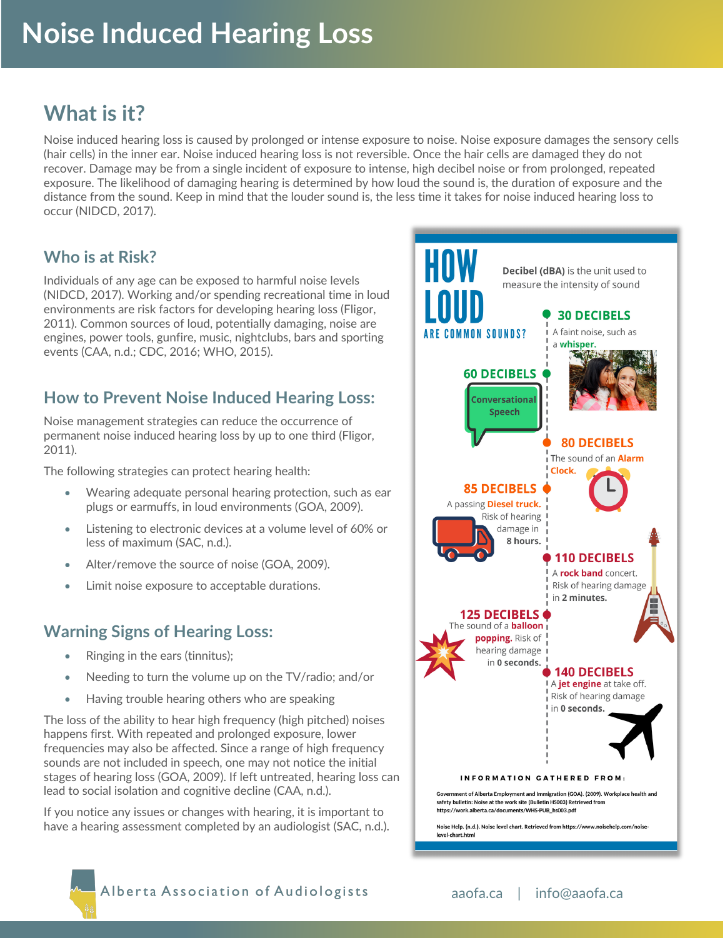# **What is it?**

Noise induced hearing loss is caused by prolonged or intense exposure to noise. Noise exposure damages the sensory cells (hair cells) in the inner ear. Noise induced hearing loss is not reversible. Once the hair cells are damaged they do not recover. Damage may be from a single incident of exposure to intense, high decibel noise or from prolonged, repeated exposure. The likelihood of damaging hearing is determined by how loud the sound is, the duration of exposure and the distance from the sound. Keep in mind that the louder sound is, the less time it takes for noise induced hearing loss to occur (NIDCD, 2017).

### **Who is at Risk?**

Individuals of any age can be exposed to harmful noise levels (NIDCD, 2017). Working and/or spending recreational time in loud environments are risk factors for developing hearing loss (Fligor, 2011). Common sources of loud, potentially damaging, noise are engines, power tools, gunfire, music, nightclubs, bars and sporting events (CAA, n.d.; CDC, 2016; WHO, 2015).

### **How to Prevent Noise Induced Hearing Loss:**

Noise management strategies can reduce the occurrence of permanent noise induced hearing loss by up to one third (Fligor, 2011).

The following strategies can protect hearing health:

- Wearing adequate personal hearing protection, such as ear plugs or earmuffs, in loud environments (GOA, 2009).
- Listening to electronic devices at a volume level of 60% or less of maximum (SAC, n.d.).
- Alter/remove the source of noise (GOA, 2009).
- Limit noise exposure to acceptable durations.

#### **Warning Signs of Hearing Loss:**

- Ringing in the ears (tinnitus);
- Needing to turn the volume up on the TV/radio; and/or
- Having trouble hearing others who are speaking

The loss of the ability to hear high frequency (high pitched) noises happens first. With repeated and prolonged exposure, lower frequencies may also be affected. Since a range of high frequency sounds are not included in speech, one may not notice the initial stages of hearing loss (GOA, 2009). If left untreated, hearing loss can lead to social isolation and cognitive decline (CAA, n.d.).

If you notice any issues or changes with hearing, it is important to have a hearing assessment completed by an audiologist (SAC, n.d.).



Alberta Association of Audiologists